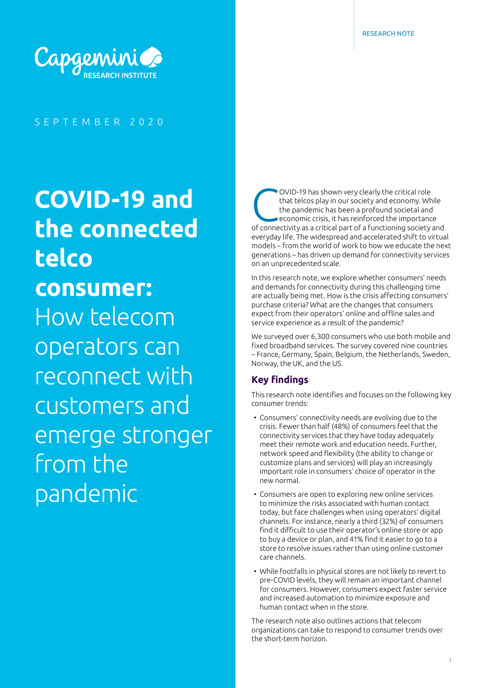

SEPTEMBER 2020

# **COVID-19 and the connected telco consumer:**  How telecom operators can reconnect with customers and emerge stronger from the pandemic

OVID-19 has shown very clearly the critical role<br>that telcos play in our society and economy. When pandemic has been a profound societal and<br>economic crisis, it has reinforced the importance<br>of connectivity as a critical p that telcos play in our society and economy. While the pandemic has been a profound societal and economic crisis, it has reinforced the importance of connectivity as a critical part of a functioning society and everyday life. The widespread and accelerated shift to virtual models – from the world of work to how we educate the next generations – has driven up demand for connectivity services on an unprecedented scale.

In this research note, we explore whether consumers' needs and demands for connectivity during this challenging time are actually being met. How is the crisis affecting consumers' purchase criteria? What are the changes that consumers expect from their operators' online and offline sales and service experience as a result of the pandemic?

We surveyed over 6,300 consumers who use both mobile and fixed broadband services. The survey covered nine countries – France, Germany, Spain, Belgium, the Netherlands, Sweden, Norway, the UK, and the US.

# **Key findings**

This research note identifies and focuses on the following key consumer trends:

- Consumers' connectivity needs are evolving due to the crisis. Fewer than half (48%) of consumers feel that the connectivity services that they have today adequately meet their remote work and education needs. Further, network speed and flexibility (the ability to change or customize plans and services) will play an increasingly important role in consumers' choice of operator in the new normal.
- Consumers are open to exploring new online services to minimize the risks associated with human contact today, but face challenges when using operators' digital channels. For instance, nearly a third (32%) of consumers find it difficult to use their operator's online store or app to buy a device or plan, and 41% find it easier to go to a store to resolve issues rather than using online customer care channels.
- While footfalls in physical stores are not likely to revert to pre-COVID levels, they will remain an important channel for consumers. However, consumers expect faster service and increased automation to minimize exposure and human contact when in the store.

The research note also outlines actions that telecom organizations can take to respond to consumer trends over the short-term horizon.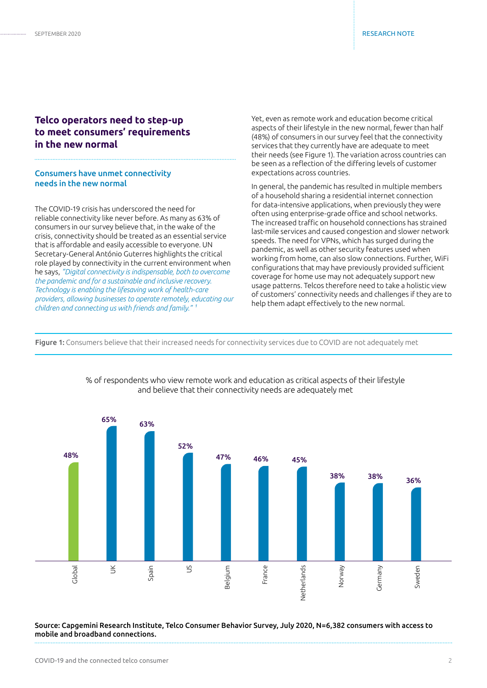# **Telco operators need to step-up to meet consumers' requirements in the new normal**

#### Consumers have unmet connectivity needs in the new normal

The COVID-19 crisis has underscored the need for reliable connectivity like never before. As many as 63% of consumers in our survey believe that, in the wake of the crisis, connectivity should be treated as an essential service that is affordable and easily accessible to everyone. UN Secretary-General António Guterres highlights the critical role played by connectivity in the current environment when he says, *"Digital connectivity is indispensable, both to overcome the pandemic and for a sustainable and inclusive recovery. Technology is enabling the lifesaving work of health-care providers, allowing businesses to operate remotely, educating our children and connecting us with friends and family." 1*

Yet, even as remote work and education become critical aspects of their lifestyle in the new normal, fewer than half (48%) of consumers in our survey feel that the connectivity services that they currently have are adequate to meet their needs (see Figure 1). The variation across countries can be seen as a reflection of the differing levels of customer expectations across countries.

In general, the pandemic has resulted in multiple members of a household sharing a residential internet connection for data-intensive applications, when previously they were often using enterprise-grade office and school networks. The increased traffic on household connections has strained last-mile services and caused congestion and slower network speeds. The need for VPNs, which has surged during the pandemic, as well as other security features used when working from home, can also slow connections. Further, WiFi configurations that may have previously provided sufficient coverage for home use may not adequately support new usage patterns. Telcos therefore need to take a holistic view of customers' connectivity needs and challenges if they are to help them adapt effectively to the new normal.

Figure 1: Consumers believe that their increased needs for connectivity services due to COVID are not adequately met



% of respondents who view remote work and education as critical aspects of their lifestyle and believe that their connectivity needs are adequately met

Source: Capgemini Research Institute, Telco Consumer Behavior Survey, July 2020, N=6,382 consumers with access to mobile and broadband connections.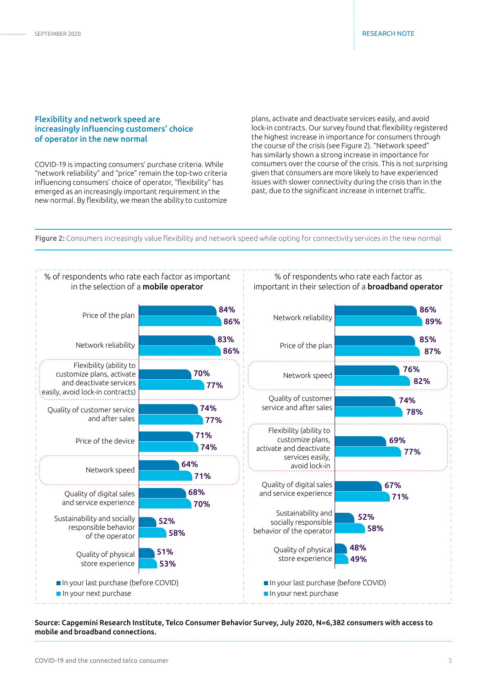#### Flexibility and network speed are increasingly influencing customers' choice of operator in the new normal

COVID-19 is impacting consumers' purchase criteria. While "network reliability" and "price" remain the top-two criteria influencing consumers' choice of operator, "flexibility" has emerged as an increasingly important requirement in the new normal. By flexibility, we mean the ability to customize plans, activate and deactivate services easily, and avoid lock-in contracts. Our survey found that flexibility registered the highest increase in importance for consumers through the course of the crisis (see Figure 2). "Network speed" has similarly shown a strong increase in importance for consumers over the course of the crisis. This is not surprising given that consumers are more likely to have experienced issues with slower connectivity during the crisis than in the past, due to the significant increase in internet traffic.

Figure 2: Consumers increasingly value flexibility and network speed while opting for connectivity services in the new normal



Source: Capgemini Research Institute, Telco Consumer Behavior Survey, July 2020, N=6,382 consumers with access to mobile and broadband connections.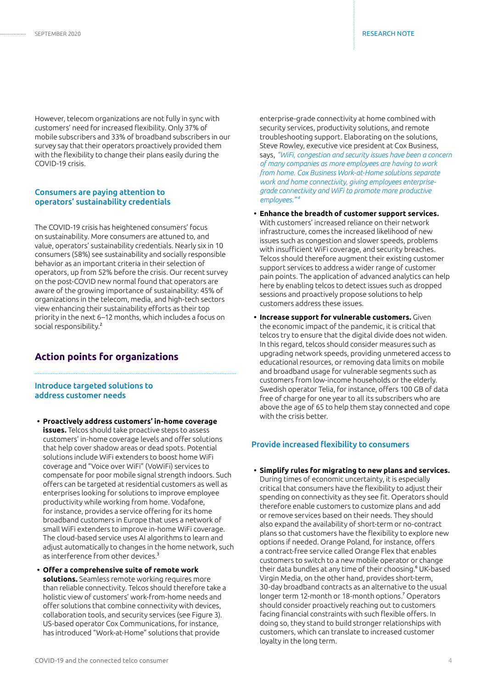However, telecom organizations are not fully in sync with customers' need for increased flexibility. Only 37% of mobile subscribers and 33% of broadband subscribers in our survey say that their operators proactively provided them with the flexibility to change their plans easily during the COVID-19 crisis.

#### Consumers are paying attention to operators' sustainability credentials

The COVID-19 crisis has heightened consumers' focus on sustainability. More consumers are attuned to, and value, operators' sustainability credentials. Nearly six in 10 consumers (58%) see sustainability and socially responsible behavior as an important criteria in their selection of operators, up from 52% before the crisis. Our recent survey on the post-COVID new normal found that operators are aware of the growing importance of sustainability: 45% of organizations in the telecom, media, and high-tech sectors view enhancing their sustainability efforts as their top priority in the next 6–12 months, which includes a focus on social responsibility.<sup>2</sup>

# **Action points for organizations**

#### Introduce targeted solutions to address customer needs

- **• Proactively address customers' in-home coverage issues.** Telcos should take proactive steps to assess customers' in-home coverage levels and offer solutions that help cover shadow areas or dead spots. Potential solutions include WiFi extenders to boost home WiFi coverage and "Voice over WiFi" (VoWiFi) services to compensate for poor mobile signal strength indoors. Such offers can be targeted at residential customers as well as enterprises looking for solutions to improve employee productivity while working from home. Vodafone, for instance, provides a service offering for its home broadband customers in Europe that uses a network of small WiFi extenders to improve in-home WiFi coverage. The cloud-based service uses AI algorithms to learn and adjust automatically to changes in the home network, such as interference from other devices.<sup>3</sup>
- **• Offer a comprehensive suite of remote work solutions.** Seamless remote working requires more than reliable connectivity. Telcos should therefore take a holistic view of customers' work-from-home needs and offer solutions that combine connectivity with devices, collaboration tools, and security services (see Figure 3). US-based operator Cox Communications, for instance, has introduced "Work-at-Home" solutions that provide

enterprise-grade connectivity at home combined with security services, productivity solutions, and remote troubleshooting support. Elaborating on the solutions, Steve Rowley, executive vice president at Cox Business, says, *"WiFi, congestion and security issues have been a concern of many companies as more employees are having to work from home. Cox Business Work-at-Home solutions separate work and home connectivity, giving employees enterprisegrade connectivity and WiFi to promote more productive employees."4*

- **• Enhance the breadth of customer support services.**  With customers' increased reliance on their network infrastructure, comes the increased likelihood of new issues such as congestion and slower speeds, problems with insufficient WiFi coverage, and security breaches. Telcos should therefore augment their existing customer support services to address a wider range of customer pain points. The application of advanced analytics can help here by enabling telcos to detect issues such as dropped sessions and proactively propose solutions to help customers address these issues.
- **• Increase support for vulnerable customers.** Given the economic impact of the pandemic, it is critical that telcos try to ensure that the digital divide does not widen. In this regard, telcos should consider measures such as upgrading network speeds, providing unmetered access to educational resources, or removing data limits on mobile and broadband usage for vulnerable segments such as customers from low-income households or the elderly. Swedish operator Telia, for instance, offers 100 GB of data free of charge for one year to all its subscribers who are above the age of 65 to help them stay connected and cope with the crisis better.

#### Provide increased flexibility to consumers

**• Simplify rules for migrating to new plans and services.** 

During times of economic uncertainty, it is especially critical that consumers have the flexibility to adjust their spending on connectivity as they see fit. Operators should therefore enable customers to customize plans and add or remove services based on their needs. They should also expand the availability of short-term or no-contract plans so that customers have the flexibility to explore new options if needed. Orange Poland, for instance, offers a contract-free service called Orange Flex that enables customers to switch to a new mobile operator or change their data bundles at any time of their choosing.<sup>6</sup> UK-based Virgin Media, on the other hand, provides short-term, 30-day broadband contracts as an alternative to the usual longer term 12-month or 18-month options.7 Operators should consider proactively reaching out to customers facing financial constraints with such flexible offers. In doing so, they stand to build stronger relationships with customers, which can translate to increased customer loyalty in the long term.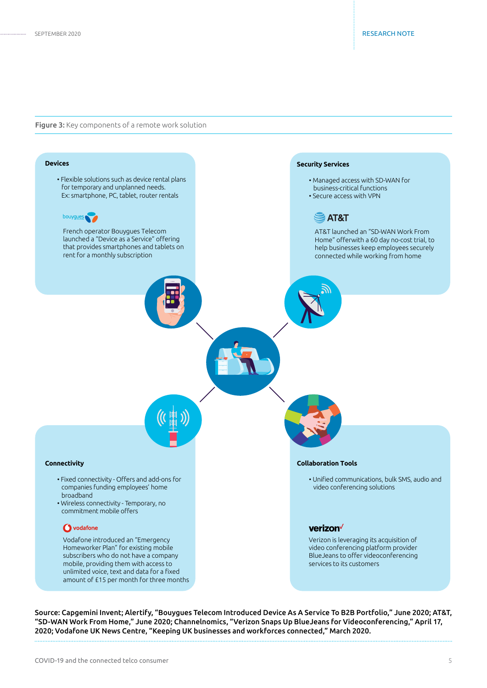. . . .

#### Figure 3: Key components of a remote work solution



Source: Capgemini Invent; Alertify, "Bouygues Telecom Introduced Device As A Service To B2B Portfolio," June 2020; AT&T, "SD-WAN Work From Home," June 2020; Channelnomics, "Verizon Snaps Up BlueJeans for Videoconferencing," April 17, 2020; Vodafone UK News Centre, "Keeping UK businesses and workforces connected," March 2020.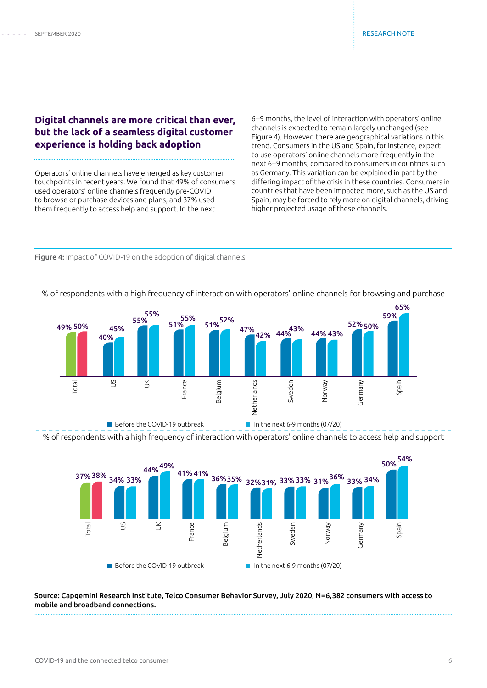# **Digital channels are more critical than ever, but the lack of a seamless digital customer experience is holding back adoption**

Operators' online channels have emerged as key customer touchpoints in recent years. We found that 49% of consumers used operators' online channels frequently pre-COVID to browse or purchase devices and plans, and 37% used them frequently to access help and support. In the next

6–9 months, the level of interaction with operators' online channels is expected to remain largely unchanged (see Figure 4). However, there are geographical variations in this trend. Consumers in the US and Spain, for instance, expect to use operators' online channels more frequently in the next 6–9 months, compared to consumers in countries such as Germany. This variation can be explained in part by the differing impact of the crisis in these countries. Consumers in countries that have been impacted more, such as the US and Spain, may be forced to rely more on digital channels, driving higher projected usage of these channels.



Figure 4: Impact of COVID-19 on the adoption of digital channels

Source: Capgemini Research Institute, Telco Consumer Behavior Survey, July 2020, N=6,382 consumers with access to mobile and broadband connections.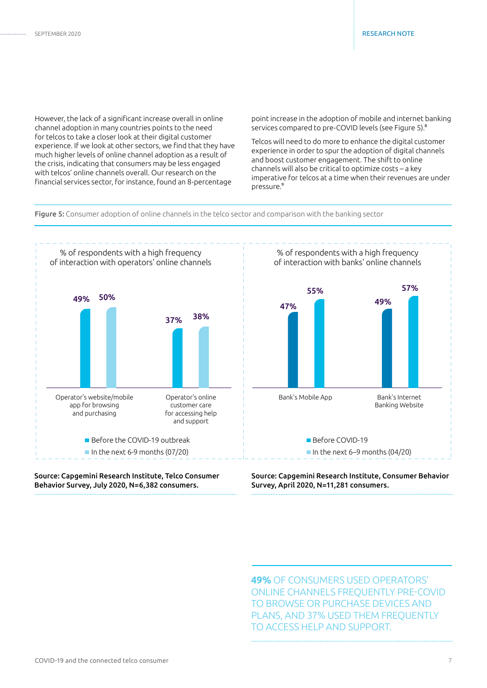However, the lack of a significant increase overall in online channel adoption in many countries points to the need for telcos to take a closer look at their digital customer experience. If we look at other sectors, we find that they have much higher levels of online channel adoption as a result of the crisis, indicating that consumers may be less engaged with telcos' online channels overall. Our research on the financial services sector, for instance, found an 8-percentage

point increase in the adoption of mobile and internet banking services compared to pre-COVID levels (see Figure 5).<sup>8</sup>

Telcos will need to do more to enhance the digital customer experience in order to spur the adoption of digital channels and boost customer engagement. The shift to online channels will also be critical to optimize costs – a key imperative for telcos at a time when their revenues are under pressure.9

Figure 5: Consumer adoption of online channels in the telco sector and comparison with the banking sector



#### Source: Capgemini Research Institute, Telco Consumer Behavior Survey, July 2020, N=6,382 consumers.



Source: Capgemini Research Institute, Consumer Behavior Survey, April 2020, N=11,281 consumers.

**49%** OF CONSUMERS USED OPERATORS' ONLINE CHANNELS FREQUENTLY PRE-COVID TO BROWSE OR PURCHASE DEVICES AND PLANS, AND 37% USED THEM FREQUENTLY TO ACCESS HELP AND SUPPORT.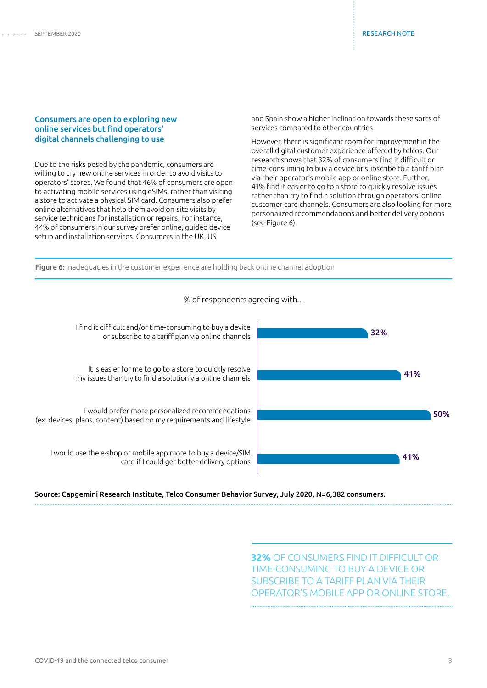#### Consumers are open to exploring new online services but find operators' digital channels challenging to use

Due to the risks posed by the pandemic, consumers are willing to try new online services in order to avoid visits to operators' stores. We found that 46% of consumers are open to activating mobile services using eSIMs, rather than visiting a store to activate a physical SIM card. Consumers also prefer online alternatives that help them avoid on-site visits by service technicians for installation or repairs. For instance, 44% of consumers in our survey prefer online, guided device setup and installation services. Consumers in the UK, US

and Spain show a higher inclination towards these sorts of services compared to other countries.

However, there is significant room for improvement in the overall digital customer experience offered by telcos. Our research shows that 32% of consumers find it difficult or time-consuming to buy a device or subscribe to a tariff plan via their operator's mobile app or online store. Further, 41% find it easier to go to a store to quickly resolve issues rather than try to find a solution through operators' online customer care channels. Consumers are also looking for more personalized recommendations and better delivery options (see Figure 6).





### % of respondents agreeing with...

Source: Capgemini Research Institute, Telco Consumer Behavior Survey, July 2020, N=6,382 consumers.

**32%** OF CONSUMERS FIND IT DIFFICULT OR TIME-CONSUMING TO BUY A DEVICE OR SUBSCRIBE TO A TARIFF PLAN VIA THEIR OPERATOR'S MOBILE APP OR ONLINE STORE.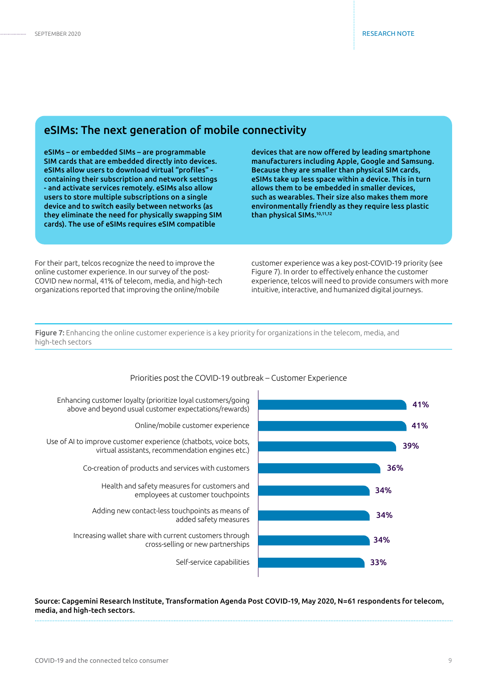# eSIMs: The next generation of mobile connectivity

eSIMs – or embedded SIMs – are programmable SIM cards that are embedded directly into devices. eSIMs allow users to download virtual "profiles" containing their subscription and network settings - and activate services remotely. eSIMs also allow users to store multiple subscriptions on a single device and to switch easily between networks (as they eliminate the need for physically swapping SIM cards). The use of eSIMs requires eSIM compatible

devices that are now offered by leading smartphone manufacturers including Apple, Google and Samsung. Because they are smaller than physical SIM cards, eSIMs take up less space within a device. This in turn allows them to be embedded in smaller devices, such as wearables. Their size also makes them more environmentally friendly as they require less plastic than physical SIMs.10,11,12

For their part, telcos recognize the need to improve the online customer experience. In our survey of the post-COVID new normal, 41% of telecom, media, and high-tech organizations reported that improving the online/mobile

customer experience was a key post-COVID-19 priority (see Figure 7). In order to effectively enhance the customer experience, telcos will need to provide consumers with more intuitive, interactive, and humanized digital journeys.

Figure 7: Enhancing the online customer experience is a key priority for organizations in the telecom, media, and high-tech sectors



#### Priorities post the COVID-19 outbreak – Customer Experience

Source: Capgemini Research Institute, Transformation Agenda Post COVID-19, May 2020, N=61 respondents for telecom, media, and high-tech sectors.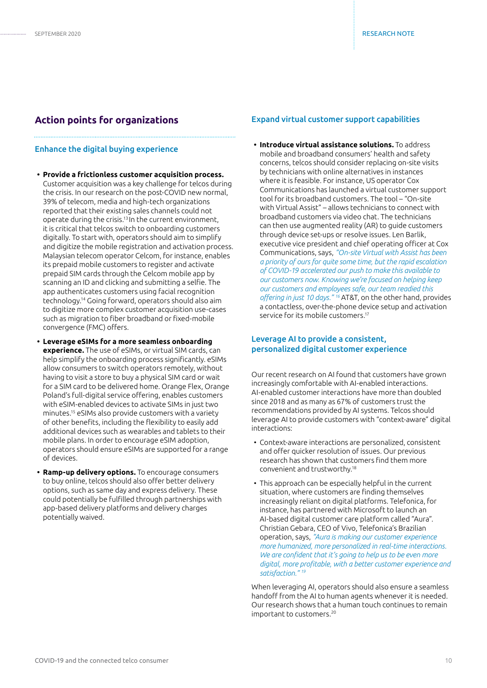# **Action points for organizations**

#### Enhance the digital buying experience

- **• Provide a frictionless customer acquisition process.**  Customer acquisition was a key challenge for telcos during the crisis. In our research on the post-COVID new normal, 39% of telecom, media and high-tech organizations reported that their existing sales channels could not operate during the crisis.13 In the current environment, it is critical that telcos switch to onboarding customers digitally. To start with, operators should aim to simplify and digitize the mobile registration and activation process. Malaysian telecom operator Celcom, for instance, enables its prepaid mobile customers to register and activate prepaid SIM cards through the Celcom mobile app by scanning an ID and clicking and submitting a selfie. The app authenticates customers using facial recognition technology.14 Going forward, operators should also aim to digitize more complex customer acquisition use-cases such as migration to fiber broadband or fixed-mobile convergence (FMC) offers.
- **• Leverage eSIMs for a more seamless onboarding experience.** The use of eSIMs, or virtual SIM cards, can help simplify the onboarding process significantly. eSIMs allow consumers to switch operators remotely, without having to visit a store to buy a physical SIM card or wait for a SIM card to be delivered home. Orange Flex, Orange Poland's full-digital service offering, enables customers with eSIM-enabled devices to activate SIMs in just two minutes.15 eSIMs also provide customers with a variety of other benefits, including the flexibility to easily add additional devices such as wearables and tablets to their mobile plans. In order to encourage eSIM adoption, operators should ensure eSIMs are supported for a range of devices.
- **• Ramp-up delivery options.** To encourage consumers to buy online, telcos should also offer better delivery options, such as same day and express delivery. These could potentially be fulfilled through partnerships with app-based delivery platforms and delivery charges potentially waived.

#### Expand virtual customer support capabilities

**• Introduce virtual assistance solutions.** To address mobile and broadband consumers' health and safety concerns, telcos should consider replacing on-site visits by technicians with online alternatives in instances where it is feasible. For instance, US operator Cox Communications has launched a virtual customer support tool for its broadband customers. The tool – "On-site with Virtual Assist" – allows technicians to connect with broadband customers via video chat. The technicians can then use augmented reality (AR) to guide customers through device set-ups or resolve issues. Len Barlik, executive vice president and chief operating officer at Cox Communications, says, *"On-site Virtual with Assist has been a priority of ours for quite some time, but the rapid escalation of COVID-19 accelerated our push to make this available to our customers now. Knowing we're focused on helping keep our customers and employees safe, our team readied this offering in just 10 days." 16* AT&T, on the other hand, provides a contactless, over-the-phone device setup and activation service for its mobile customers.<sup>17</sup>

#### Leverage AI to provide a consistent, personalized digital customer experience

Our recent research on AI found that customers have grown increasingly comfortable with AI-enabled interactions. AI-enabled customer interactions have more than doubled since 2018 and as many as 67% of customers trust the recommendations provided by AI systems. Telcos should leverage AI to provide customers with "context-aware" digital interactions:

- Context-aware interactions are personalized, consistent and offer quicker resolution of issues. Our previous research has shown that customers find them more convenient and trustworthy.18
- This approach can be especially helpful in the current situation, where customers are finding themselves increasingly reliant on digital platforms. Telefonica, for instance, has partnered with Microsoft to launch an AI-based digital customer care platform called "Aura". Christian Gebara, CEO of Vivo, Telefonica's Brazilian operation, says, *"Aura is making our customer experience more humanized, more personalized in real-time interactions. We are confident that it's going to help us to be even more digital, more profitable, with a better customer experience and satisfaction." 19*

When leveraging AI, operators should also ensure a seamless handoff from the AI to human agents whenever it is needed. Our research shows that a human touch continues to remain important to customers.20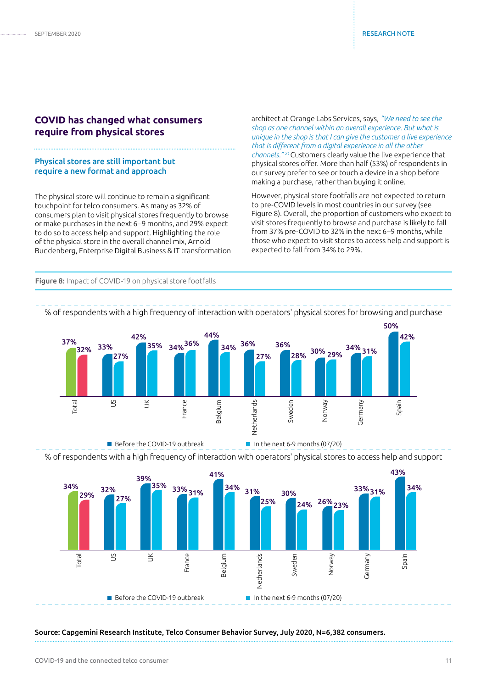# **COVID has changed what consumers require from physical stores**

#### Physical stores are still important but require a new format and approach

The physical store will continue to remain a significant touchpoint for telco consumers. As many as 32% of consumers plan to visit physical stores frequently to browse or make purchases in the next 6–9 months, and 29% expect to do so to access help and support. Highlighting the role of the physical store in the overall channel mix, Arnold Buddenberg, Enterprise Digital Business & IT transformation

architect at Orange Labs Services, says, *"We need to see the shop as one channel within an overall experience. But what is unique in the shop is that I can give the customer a live experience that is different from a digital experience in all the other channels." <sup>21</sup>*Customers clearly value the live experience that physical stores offer. More than half (53%) of respondents in our survey prefer to see or touch a device in a shop before making a purchase, rather than buying it online.

However, physical store footfalls are not expected to return to pre-COVID levels in most countries in our survey (see Figure 8). Overall, the proportion of customers who expect to visit stores frequently to browse and purchase is likely to fall from 37% pre-COVID to 32% in the next 6–9 months, while those who expect to visit stores to access help and support is expected to fall from 34% to 29%.



#### Source: Capgemini Research Institute, Telco Consumer Behavior Survey, July 2020, N=6,382 consumers.

# Figure 8: Impact of COVID-19 on physical store footfalls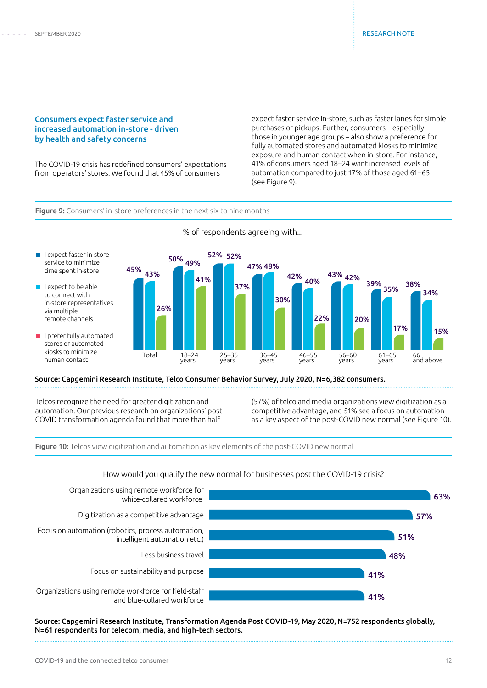#### Consumers expect faster service and increased automation in-store - driven by health and safety concerns

The COVID-19 crisis has redefined consumers' expectations from operators' stores. We found that 45% of consumers

expect faster service in-store, such as faster lanes for simple purchases or pickups. Further, consumers – especially those in younger age groups – also show a preference for fully automated stores and automated kiosks to minimize exposure and human contact when in-store. For instance, 41% of consumers aged 18–24 want increased levels of automation compared to just 17% of those aged 61–65 (see Figure 9).

#### Figure 9: Consumers' in-store preferences in the next six to nine months



#### Source: Capgemini Research Institute, Telco Consumer Behavior Survey, July 2020, N=6,382 consumers.

Telcos recognize the need for greater digitization and automation. Our previous research on organizations' post-COVID transformation agenda found that more than half

(57%) of telco and media organizations view digitization as a competitive advantage, and 51% see a focus on automation as a key aspect of the post-COVID new normal (see Figure 10).

Figure 10: Telcos view digitization and automation as key elements of the post-COVID new normal

#### How would you qualify the new normal for businesses post the COVID-19 crisis?



Source: Capgemini Research Institute, Transformation Agenda Post COVID-19, May 2020, N=752 respondents globally, N=61 respondents for telecom, media, and high-tech sectors.

#### % of respondents agreeing with...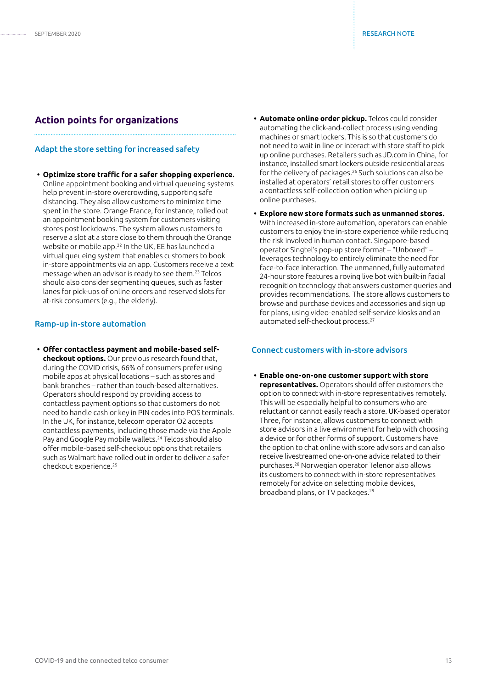# **Action points for organizations**

#### Adapt the store setting for increased safety

**• Optimize store traffic for a safer shopping experience.** Online appointment booking and virtual queueing systems help prevent in-store overcrowding, supporting safe distancing. They also allow customers to minimize time spent in the store. Orange France, for instance, rolled out an appointment booking system for customers visiting stores post lockdowns. The system allows customers to reserve a slot at a store close to them through the Orange website or mobile app.22 In the UK, EE has launched a virtual queueing system that enables customers to book in-store appointments via an app. Customers receive a text message when an advisor is ready to see them.23 Telcos should also consider segmenting queues, such as faster lanes for pick-ups of online orders and reserved slots for at-risk consumers (e.g., the elderly).

#### Ramp-up in-store automation

**• Offer contactless payment and mobile-based selfcheckout options.** Our previous research found that, during the COVID crisis, 66% of consumers prefer using mobile apps at physical locations – such as stores and bank branches – rather than touch-based alternatives. Operators should respond by providing access to contactless payment options so that customers do not need to handle cash or key in PIN codes into POS terminals. In the UK, for instance, telecom operator O2 accepts contactless payments, including those made via the Apple Pay and Google Pay mobile wallets.24 Telcos should also offer mobile-based self-checkout options that retailers such as Walmart have rolled out in order to deliver a safer checkout experience.<sup>25</sup>

- **• Automate online order pickup.** Telcos could consider automating the click-and-collect process using vending machines or smart lockers. This is so that customers do not need to wait in line or interact with store staff to pick up online purchases. Retailers such as JD.com in China, for instance, installed smart lockers outside residential areas for the delivery of packages.26 Such solutions can also be installed at operators' retail stores to offer customers a contactless self-collection option when picking up online purchases.
- **• Explore new store formats such as unmanned stores.**  With increased in-store automation, operators can enable customers to enjoy the in-store experience while reducing the risk involved in human contact. Singapore-based operator Singtel's pop-up store format – "Unboxed" – leverages technology to entirely eliminate the need for face-to-face interaction. The unmanned, fully automated 24-hour store features a roving live bot with built-in facial recognition technology that answers customer queries and provides recommendations. The store allows customers to browse and purchase devices and accessories and sign up for plans, using video-enabled self-service kiosks and an automated self-checkout process.<sup>27</sup>

#### Connect customers with in-store advisors

**• Enable one-on-one customer support with store representatives.** Operators should offer customers the option to connect with in-store representatives remotely. This will be especially helpful to consumers who are reluctant or cannot easily reach a store. UK-based operator Three, for instance, allows customers to connect with store advisors in a live environment for help with choosing a device or for other forms of support. Customers have the option to chat online with store advisors and can also receive livestreamed one-on-one advice related to their purchases.28 Norwegian operator Telenor also allows its customers to connect with in-store representatives remotely for advice on selecting mobile devices, broadband plans, or TV packages.29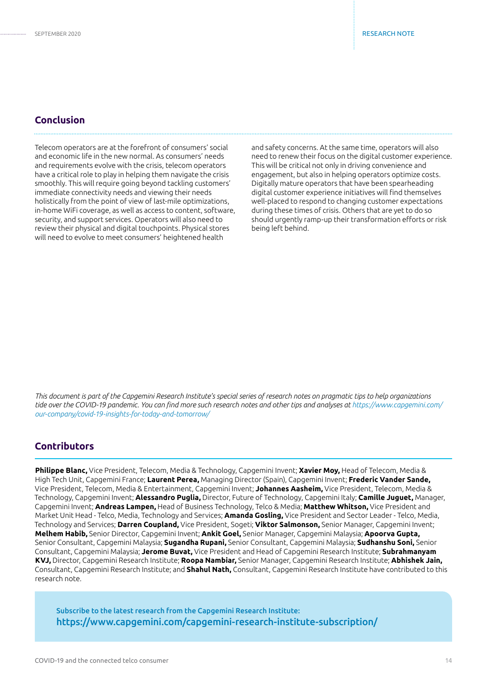# **Conclusion**

Telecom operators are at the forefront of consumers' social and economic life in the new normal. As consumers' needs and requirements evolve with the crisis, telecom operators have a critical role to play in helping them navigate the crisis smoothly. This will require going beyond tackling customers' immediate connectivity needs and viewing their needs holistically from the point of view of last-mile optimizations, in-home WiFi coverage, as well as access to content, software, security, and support services. Operators will also need to review their physical and digital touchpoints. Physical stores will need to evolve to meet consumers' heightened health

and safety concerns. At the same time, operators will also need to renew their focus on the digital customer experience. This will be critical not only in driving convenience and engagement, but also in helping operators optimize costs. Digitally mature operators that have been spearheading digital customer experience initiatives will find themselves well-placed to respond to changing customer expectations during these times of crisis. Others that are yet to do so should urgently ramp-up their transformation efforts or risk being left behind.

*This document is part of the Capgemini Research Institute's special series of research notes on pragmatic tips to help organizations tide over the COVID-19 pandemic. You can find more such research notes and other tips and analyses at https://www.capgemini.com/ our-company/covid-19-insights-for-today-and-tomorrow/*

# **Contributors**

**Philippe Blanc,** Vice President, Telecom, Media & Technology, Capgemini Invent; **Xavier Moy,** Head of Telecom, Media & High Tech Unit, Capgemini France; **Laurent Perea,** Managing Director (Spain), Capgemini Invent; **Frederic Vander Sande,** Vice President, Telecom, Media & Entertainment, Capgemini Invent; **Johannes Aasheim,** Vice President, Telecom, Media & Technology, Capgemini Invent; **Alessandro Puglia,** Director, Future of Technology, Capgemini Italy; **Camille Juguet,** Manager, Capgemini Invent; **Andreas Lampen,** Head of Business Technology, Telco & Media; **Matthew Whitson,** Vice President and Market Unit Head - Telco, Media, Technology and Services; **Amanda Gosling,** Vice President and Sector Leader - Telco, Media, Technology and Services; **Darren Coupland,** Vice President, Sogeti; **Viktor Salmonson,** Senior Manager, Capgemini Invent; **Melhem Habib,** Senior Director, Capgemini Invent; **Ankit Goel,** Senior Manager, Capgemini Malaysia; **Apoorva Gupta,** Senior Consultant, Capgemini Malaysia; **Sugandha Rupani,** Senior Consultant, Capgemini Malaysia; **Sudhanshu Soni,** Senior Consultant, Capgemini Malaysia; **Jerome Buvat,** Vice President and Head of Capgemini Research Institute; **Subrahmanyam KVJ,** Director, Capgemini Research Institute; **Roopa Nambiar,** Senior Manager, Capgemini Research Institute; **Abhishek Jain,** Consultant, Capgemini Research Institute; and **Shahul Nath,** Consultant, Capgemini Research Institute have contributed to this research note.

Subscribe to the latest research from the Capgemini Research Institute: https://www.capgemini.com/capgemini-research-institute-subscription/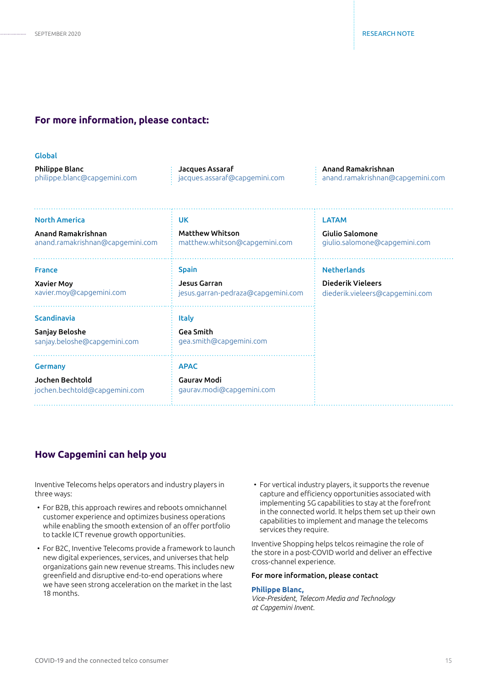### **For more information, please contact:**

| r.<br>۰.<br>. .<br>۰.<br>۰.<br>w<br>M.<br>×<br>M. |
|---------------------------------------------------|
|---------------------------------------------------|

| <b>Philippe Blanc</b>        | Jacques Assaraf                            | Anand Ramakrishnan                            |
|------------------------------|--------------------------------------------|-----------------------------------------------|
| philippe.blanc@capgemini.com | $\therefore$ jacques.assaraf@capgemini.com | $\therefore$ anand.ramakrishnan@capgemini.com |
|                              |                                            |                                               |

| <b>North America</b>                                                 | <b>UK</b>                                                      | <b>LATAM</b>                    |
|----------------------------------------------------------------------|----------------------------------------------------------------|---------------------------------|
| Anand Ramakrishnan                                                   | <b>Matthew Whitson</b>                                         | <b>Giulio Salomone</b>          |
| anand.ramakrishnan@capgemini.com                                     | matthew.whitson@capgemini.com                                  | giulio.salomone@capgemini.com   |
| <b>France</b>                                                        | <b>Spain</b>                                                   | <b>Netherlands</b>              |
| <b>Xavier Moy</b>                                                    | Jesus Garran                                                   | <b>Diederik Vieleers</b>        |
| xavier.moy@capgemini.com                                             | jesus.garran-pedraza@capgemini.com                             | diederik.vieleers@capgemini.com |
| <b>Scandinavia</b><br>Sanjay Beloshe<br>sanjay.beloshe@capgemini.com | <b>Italy</b><br><b>Gea Smith</b><br>gea.smith@capgemini.com    |                                 |
| <b>Germany</b><br>Jochen Bechtold<br>jochen.bechtold@capgemini.com   | <b>APAC</b><br><b>Gaurav Modi</b><br>gaurav.modi@capgemini.com |                                 |

## **How Capgemini can help you**

Inventive Telecoms helps operators and industry players in three ways:

- For B2B, this approach rewires and reboots omnichannel customer experience and optimizes business operations while enabling the smooth extension of an offer portfolio to tackle ICT revenue growth opportunities.
- For B2C, Inventive Telecoms provide a framework to launch new digital experiences, services, and universes that help organizations gain new revenue streams. This includes new greenfield and disruptive end-to-end operations where we have seen strong acceleration on the market in the last 18 months.
- For vertical industry players, it supports the revenue capture and efficiency opportunities associated with implementing 5G capabilities to stay at the forefront in the connected world. It helps them set up their own capabilities to implement and manage the telecoms services they require.

Inventive Shopping helps telcos reimagine the role of the store in a post-COVID world and deliver an effective cross-channel experience.

#### For more information, please contact

#### **[Philippe Blanc,](mailto:philippe.blanc%40capgemini.com?subject=)**

*Vice-President, Telecom Media and Technology at Capgemini Invent.*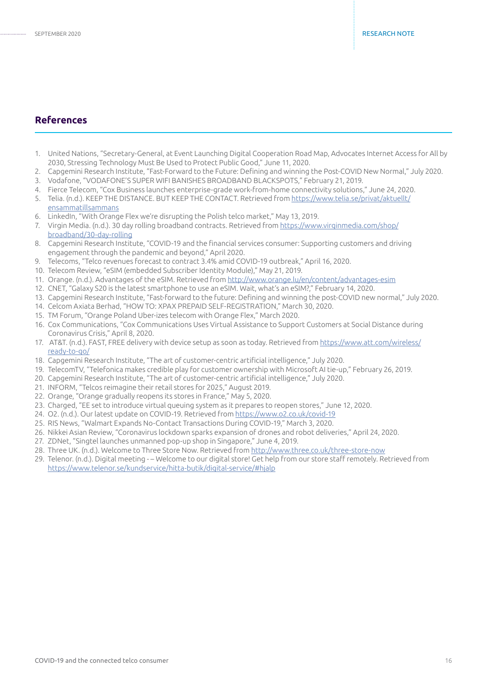# **References**

- 1. United Nations, "Secretary-General, at Event Launching Digital Cooperation Road Map, Advocates Internet Access for All by 2030, Stressing Technology Must Be Used to Protect Public Good," June 11, 2020.
- 2. Capgemini Research Institute, "Fast-Forward to the Future: Defining and winning the Post-COVID New Normal," July 2020.
- 3. Vodafone, "VODAFONE'S SUPER WIFI BANISHES BROADBAND BLACKSPOTS," February 21, 2019.
- 4. Fierce Telecom, "Cox Business launches enterprise-grade work-from-home connectivity solutions," June 24, 2020.
- 5. Telia. (n.d.). KEEP THE DISTANCE. BUT KEEP THE CONTACT. Retrieved from [https://www.telia.se/privat/aktuellt/](https://www.telia.se/privat/aktuellt/ensammatillsammans
) [ensammatillsammans](https://www.telia.se/privat/aktuellt/ensammatillsammans
)
- 6. LinkedIn, "With Orange Flex we're disrupting the Polish telco market," May 13, 2019.
- 7. Virgin Media. (n.d.). 30 day rolling broadband contracts. Retrieved from [https://www.virginmedia.com/shop/](https://www.virginmedia.com/shop/broadband/30-day-rolling
) [broadband/30-day-rolling](https://www.virginmedia.com/shop/broadband/30-day-rolling
)
- 8. Capgemini Research Institute, "COVID-19 and the financial services consumer: Supporting customers and driving engagement through the pandemic and beyond," April 2020.
- 9. Telecoms, "Telco revenues forecast to contract 3.4% amid COVID-19 outbreak," April 16, 2020.
- 10. Telecom Review, "eSIM (embedded Subscriber Identity Module)," May 21, 2019.
- 11. Orange. (n.d.). Advantages of the eSIM. Retrieved from [http://www.orange.lu/en/content/advantages-esim](http://www.orange.lu/en/content/advantages-esim
)
- 12. CNET, "Galaxy S20 is the latest smartphone to use an eSIM. Wait, what's an eSIM?," February 14, 2020.
- 13. Capgemini Research Institute, "Fast-forward to the future: Defining and winning the post-COVID new normal," July 2020.
- 14. Celcom Axiata Berhad, "HOW TO: XPAX PREPAID SELF-REGISTRATION," March 30, 2020.
- 15. TM Forum, "Orange Poland Uber-izes telecom with Orange Flex," March 2020.
- 16. Cox Communications, "Cox Communications Uses Virtual Assistance to Support Customers at Social Distance during Coronavirus Crisis," April 8, 2020.
- 17. AT&T. (n.d.). FAST, FREE delivery with device setup as soon as today. Retrieved from [https://www.att.com/wireless/](https://www.att.com/wireless/ready-to-go/
) [ready-to-go/](https://www.att.com/wireless/ready-to-go/
)
- 18. Capgemini Research Institute, "The art of customer-centric artificial intelligence," July 2020.
- 19. TelecomTV, "Telefonica makes credible play for customer ownership with Microsoft AI tie-up," February 26, 2019.
- 20. Capgemini Research Institute, "The art of customer-centric artificial intelligence," July 2020.
- 21. INFORM, "Telcos reimagine their retail stores for 2025," August 2019.
- 22. Orange, "Orange gradually reopens its stores in France," May 5, 2020.
- 23. Charged, "EE set to introduce virtual queuing system as it prepares to reopen stores," June 12, 2020.
- 24. O2. (n.d.). Our latest update on COVID-19. Retrieved from <https://www.o2.co.uk/covid-19>
- 25. RIS News, "Walmart Expands No-Contact Transactions During COVID-19," March 3, 2020.
- 26. Nikkei Asian Review, "Coronavirus lockdown sparks expansion of drones and robot deliveries," April 24, 2020.
- 27. ZDNet, "Singtel launches unmanned pop-up shop in Singapore," June 4, 2019.
- 28. Three UK. (n.d.). Welcome to Three Store Now. Retrieved from<http://www.three.co.uk/three-store-now>
- 29. Telenor. (n.d.). Digital meeting – Welcome to our digital store! Get help from our store staff remotely. Retrieved from <https://www.telenor.se/kundservice/hitta-butik/digital-service/#hjalp>